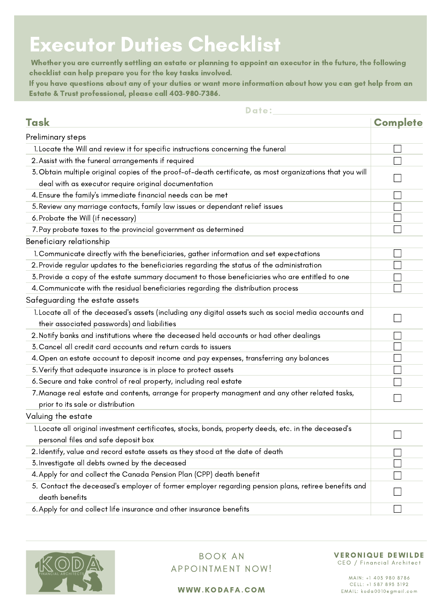## Executor Duties Checklist

Whether you are currently settling an estate or planning to appoint an executor in the future, the following checklist can help prepare you for the key tasks involved.

If you have questions about any of your duties or want more information about how you can get help from an Estate & Trust professional, please call 403-980-7386.

## Date:

| Task                                                                                                      | <b>Complete</b> |
|-----------------------------------------------------------------------------------------------------------|-----------------|
| Preliminary steps                                                                                         |                 |
| 1. Locate the Will and review it for specific instructions concerning the funeral                         |                 |
| 2. Assist with the funeral arrangements if required                                                       |                 |
| 3. Obtain multiple original copies of the proof-of-death certificate, as most organizations that you will |                 |
| deal with as executor require original documentation                                                      |                 |
| 4. Ensure the family's immediate financial needs can be met                                               |                 |
| 5. Review any marriage contacts, family law issues or dependant relief issues                             |                 |
| 6. Probate the Will (if necessary)                                                                        |                 |
| 7. Pay probate taxes to the provincial government as determined                                           |                 |
| Beneficiary relationship                                                                                  |                 |
| 1. Communicate directly with the beneficiaries, gather information and set expectations                   |                 |
| 2. Provide regular updates to the beneficiaries regarding the status of the administration                |                 |
| 3. Provide a copy of the estate summary document to those beneficiaries who are entitled to one           |                 |
| 4. Communicate with the residual beneficiaries regarding the distribution process                         |                 |
| Safeguarding the estate assets                                                                            |                 |
| 1. Locate all of the deceased's assets (including any digital assets such as social media accounts and    |                 |
| their associated passwords) and liabilities                                                               |                 |
| 2. Notify banks and institutions where the deceased held accounts or had other dealings                   |                 |
| 3. Cancel all credit card accounts and return cards to issuers                                            |                 |
| 4. Open an estate account to deposit income and pay expenses, transferring any balances                   |                 |
| 5. Verify that adequate insurance is in place to protect assets                                           |                 |
| 6. Secure and take control of real property, including real estate                                        |                 |
| 7. Manage real estate and contents, arrange for property managment and any other related tasks,           |                 |
| prior to its sale or distribution                                                                         |                 |
| Valuing the estate                                                                                        |                 |
| 1. Locate all original investment certificates, stocks, bonds, property deeds, etc. in the deceased's     |                 |
| personal files and safe deposit box                                                                       |                 |
| 2. Identify, value and record estate assets as they stood at the date of death                            |                 |
| 3. Investigate all debts owned by the deceased                                                            |                 |
| 4. Apply for and collect the Canada Pension Plan (CPP) death benefit                                      |                 |
| 5. Contact the deceased's employer of former employer regarding pension plans, retiree benefits and       |                 |
| death benefits                                                                                            |                 |
| 6. Apply for and collect life insurance and other insurance benefits                                      |                 |



## BOOK AN APPOINTMENT NOW!

## VERONIQUE DEWILDE

CEO / Financial Architect

WWW.KODAFA.COM EMAIL: koda0010egmail.com

MAIN: +1 403 980 8786<br>CELL: +1 587 893 3192